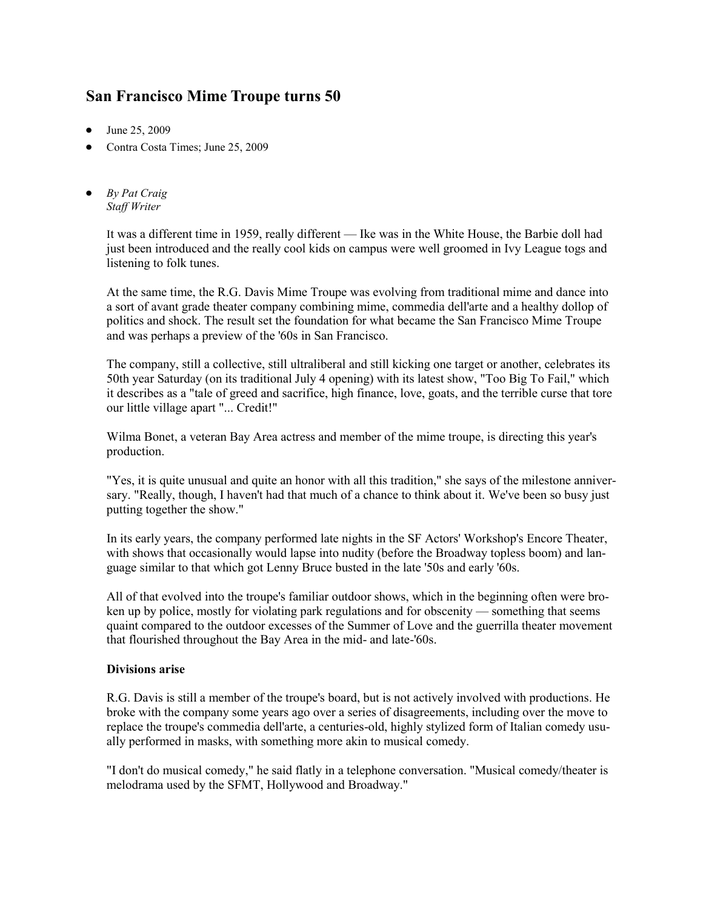## **San Francisco Mime Troupe turns 50**

- $\bullet$  June 25, 2009
- Contra Costa Times; June 25, 2009
- *By Pat Craig Staff Writer*

It was a different time in 1959, really different — Ike was in the White House, the Barbie doll had just been introduced and the really cool kids on campus were well groomed in Ivy League togs and listening to folk tunes.

At the same time, the R.G. Davis Mime Troupe was evolving from traditional mime and dance into a sort of avant grade theater company combining mime, commedia dell'arte and a healthy dollop of politics and shock. The result set the foundation for what became the San Francisco Mime Troupe and was perhaps a preview of the '60s in San Francisco.

The company, still a collective, still ultraliberal and still kicking one target or another, celebrates its 50th year Saturday (on its traditional July 4 opening) with its latest show, "Too Big To Fail," which it describes as a "tale of greed and sacrifice, high finance, love, goats, and the terrible curse that tore our little village apart "... Credit!"

Wilma Bonet, a veteran Bay Area actress and member of the mime troupe, is directing this year's production.

"Yes, it is quite unusual and quite an honor with all this tradition," she says of the milestone anniversary. "Really, though, I haven't had that much of a chance to think about it. We've been so busy just putting together the show."

In its early years, the company performed late nights in the SF Actors' Workshop's Encore Theater, with shows that occasionally would lapse into nudity (before the Broadway topless boom) and language similar to that which got Lenny Bruce busted in the late '50s and early '60s.

All of that evolved into the troupe's familiar outdoor shows, which in the beginning often were broken up by police, mostly for violating park regulations and for obscenity — something that seems quaint compared to the outdoor excesses of the Summer of Love and the guerrilla theater movement that flourished throughout the Bay Area in the mid- and late-'60s.

## **Divisions arise**

R.G. Davis is still a member of the troupe's board, but is not actively involved with productions. He broke with the company some years ago over a series of disagreements, including over the move to replace the troupe's commedia dell'arte, a centuries-old, highly stylized form of Italian comedy usually performed in masks, with something more akin to musical comedy.

"I don't do musical comedy," he said flatly in a telephone conversation. "Musical comedy/theater is melodrama used by the SFMT, Hollywood and Broadway."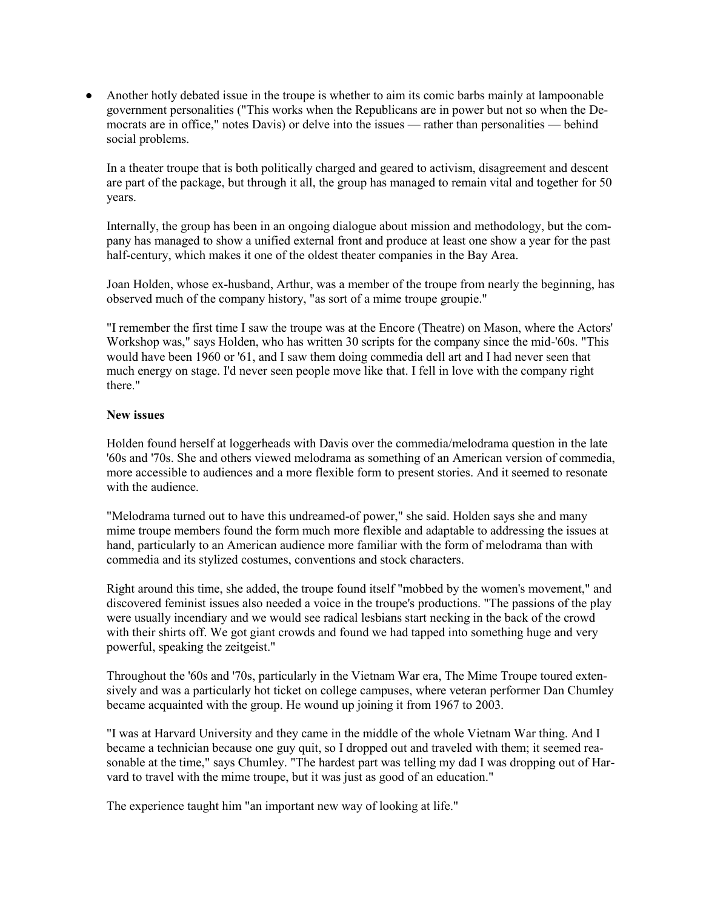Another hotly debated issue in the troupe is whether to aim its comic barbs mainly at lampoonable government personalities ("This works when the Republicans are in power but not so when the Democrats are in office," notes Davis) or delve into the issues — rather than personalities — behind social problems.

In a theater troupe that is both politically charged and geared to activism, disagreement and descent are part of the package, but through it all, the group has managed to remain vital and together for 50 years.

Internally, the group has been in an ongoing dialogue about mission and methodology, but the company has managed to show a unified external front and produce at least one show a year for the past half-century, which makes it one of the oldest theater companies in the Bay Area.

Joan Holden, whose ex-husband, Arthur, was a member of the troupe from nearly the beginning, has observed much of the company history, "as sort of a mime troupe groupie."

"I remember the first time I saw the troupe was at the Encore (Theatre) on Mason, where the Actors' Workshop was," says Holden, who has written 30 scripts for the company since the mid-'60s. "This would have been 1960 or '61, and I saw them doing commedia dell art and I had never seen that much energy on stage. I'd never seen people move like that. I fell in love with the company right there."

## **New issues**

Holden found herself at loggerheads with Davis over the commedia/melodrama question in the late '60s and '70s. She and others viewed melodrama as something of an American version of commedia, more accessible to audiences and a more flexible form to present stories. And it seemed to resonate with the audience.

"Melodrama turned out to have this undreamed-of power," she said. Holden says she and many mime troupe members found the form much more flexible and adaptable to addressing the issues at hand, particularly to an American audience more familiar with the form of melodrama than with commedia and its stylized costumes, conventions and stock characters.

Right around this time, she added, the troupe found itself "mobbed by the women's movement," and discovered feminist issues also needed a voice in the troupe's productions. "The passions of the play were usually incendiary and we would see radical lesbians start necking in the back of the crowd with their shirts off. We got giant crowds and found we had tapped into something huge and very powerful, speaking the zeitgeist."

Throughout the '60s and '70s, particularly in the Vietnam War era, The Mime Troupe toured extensively and was a particularly hot ticket on college campuses, where veteran performer Dan Chumley became acquainted with the group. He wound up joining it from 1967 to 2003.

"I was at Harvard University and they came in the middle of the whole Vietnam War thing. And I became a technician because one guy quit, so I dropped out and traveled with them; it seemed reasonable at the time," says Chumley. "The hardest part was telling my dad I was dropping out of Harvard to travel with the mime troupe, but it was just as good of an education."

The experience taught him "an important new way of looking at life."